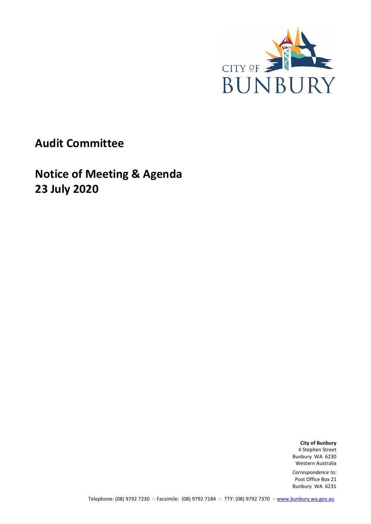

**Audit Committee**

**Notice of Meeting & Agenda 23 July 2020**

> **City of Bunbury** 4 Stephen Street Bunbury WA 6230 Western Australia

*Correspondence to:* Post Office Box 21 Bunbury WA 6231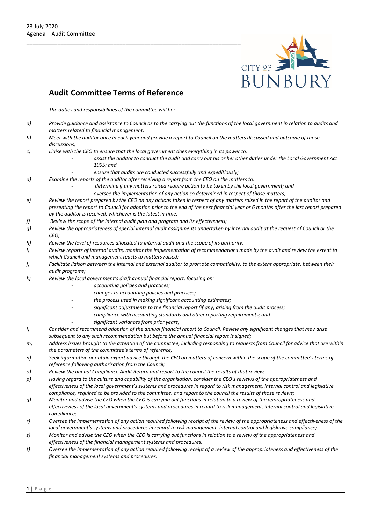

# **Audit Committee Terms of Reference**

*The duties and responsibilities of the committee will be:*

- *a) Provide guidance and assistance to Council as to the carrying out the functions of the local government in relation to audits and matters related to financial management;*
- *b) Meet with the auditor once in each year and provide a report to Council on the matters discussed and outcome of those discussions;*
- *c) Liaise with the CEO to ensure that the local government does everything in its power to:* 
	- *- assist the auditor to conduct the audit and carry out his or her other duties under the Local Government Act 1995; and* 
		- *- ensure that audits are conducted successfully and expeditiously;*
- *d) Examine the reports of the auditor after receiving a report from the CEO on the matters to:* 
	- *- determine if any matters raised require action to be taken by the local government; and*
	- *- oversee the implementation of any action so determined in respect of those matters;*
- *e) Review the report prepared by the CEO on any actions taken in respect of any matters raised in the report of the auditor and presenting the report to Council for adoption prior to the end of the next financial year or 6 months after the last report prepared by the auditor is received, whichever is the latest in time;*
- *f) Review the scope of the internal audit plan and program and its effectiveness;*
- *g) Review the appropriateness of special internal audit assignments undertaken by internal audit at the request of Council or the CEO;*
- *h) Review the level of resources allocated to internal audit and the scope of its authority;*
- *i) Review reports of internal audits, monitor the implementation of recommendations made by the audit and review the extent to which Council and management reacts to matters raised;*
- *j) Facilitate liaison between the internal and external auditor to promote compatibility, to the extent appropriate, between their audit programs;*
- *k) Review the local government's draft annual financial report, focusing on:* 
	- *- accounting policies and practices;*
	- *- changes to accounting policies and practices;*
	- *- the process used in making significant accounting estimates;*
	- *- significant adjustments to the financial report (if any) arising from the audit process;*
	- *- compliance with accounting standards and other reporting requirements; and* 
		- *- significant variances from prior years;*
- *l) Consider and recommend adoption of the annual financial report to Council. Review any significant changes that may arise subsequent to any such recommendation but before the annual financial report is signed;*
- *m) Address issues brought to the attention of the committee, including responding to requests from Council for advice that are within the parameters of the committee's terms of reference;*
- *n) Seek information or obtain expert advice through the CEO on matters of concern within the scope of the committee's terms of reference following authorisation from the Council;*
- *o) Review the annual Compliance Audit Return and report to the council the results of that review,*
- *p) Having regard to the culture and capability of the organisation, consider the CEO's reviews of the appropriateness and effectiveness of the local government's systems and procedures in regard to risk management, internal control and legislative compliance, required to be provided to the committee, and report to the council the results of those reviews;*
- *q) Monitor and advise the CEO when the CEO is carrying out functions in relation to a review of the appropriateness and effectiveness of the local government's systems and procedures in regard to risk management, internal control and legislative compliance;*
- *r) Oversee the implementation of any action required following receipt of the review of the appropriateness and effectiveness of the local government's systems and procedures in regard to risk management, internal control and legislative compliance;*
- *s) Monitor and advise the CEO when the CEO is carrying out functions in relation to a review of the appropriateness and effectiveness of the financial management systems and procedures;*
- *t) Oversee the implementation of any action required following receipt of a review of the appropriateness and effectiveness of the financial management systems and procedures.*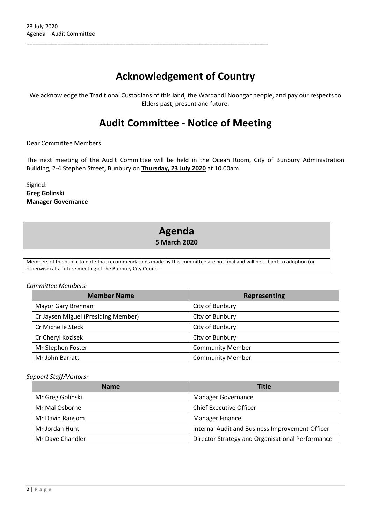# **Acknowledgement of Country**

\_\_\_\_\_\_\_\_\_\_\_\_\_\_\_\_\_\_\_\_\_\_\_\_\_\_\_\_\_\_\_\_\_\_\_\_\_\_\_\_\_\_\_\_\_\_\_\_\_\_\_\_\_\_\_\_\_\_\_\_\_\_\_\_\_\_\_\_\_\_\_\_\_\_\_\_\_\_

We acknowledge the Traditional Custodians of this land, the Wardandi Noongar people, and pay our respects to Elders past, present and future.

# **Audit Committee - Notice of Meeting**

Dear Committee Members

The next meeting of the Audit Committee will be held in the Ocean Room, City of Bunbury Administration Building, 2-4 Stephen Street, Bunbury on **Thursday, 23 July 2020** at 10.00am.

Signed: **Greg Golinski Manager Governance**

# **Agenda 5 March 2020**

Members of the public to note that recommendations made by this committee are not final and will be subject to adoption (or otherwise) at a future meeting of the Bunbury City Council.

#### *Committee Members:*

| <b>Member Name</b>                  | <b>Representing</b>     |
|-------------------------------------|-------------------------|
| Mayor Gary Brennan                  | City of Bunbury         |
| Cr Jaysen Miguel (Presiding Member) | City of Bunbury         |
| Cr Michelle Steck                   | City of Bunbury         |
| Cr Cheryl Kozisek                   | City of Bunbury         |
| Mr Stephen Foster                   | <b>Community Member</b> |
| Mr John Barratt                     | <b>Community Member</b> |

### *Support Staff/Visitors:*

| <b>Name</b>      | <b>Title</b>                                     |
|------------------|--------------------------------------------------|
| Mr Greg Golinski | Manager Governance                               |
| Mr Mal Osborne   | <b>Chief Executive Officer</b>                   |
| Mr David Ransom  | <b>Manager Finance</b>                           |
| Mr Jordan Hunt   | Internal Audit and Business Improvement Officer  |
| Mr Dave Chandler | Director Strategy and Organisational Performance |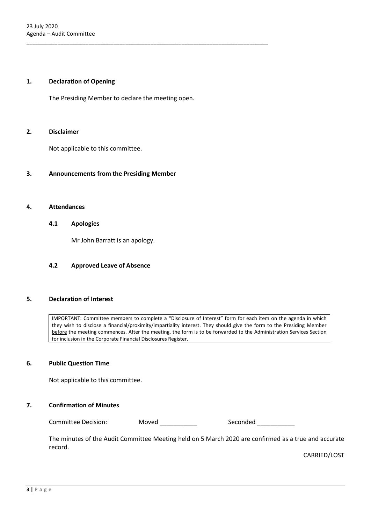#### **1. Declaration of Opening**

The Presiding Member to declare the meeting open.

\_\_\_\_\_\_\_\_\_\_\_\_\_\_\_\_\_\_\_\_\_\_\_\_\_\_\_\_\_\_\_\_\_\_\_\_\_\_\_\_\_\_\_\_\_\_\_\_\_\_\_\_\_\_\_\_\_\_\_\_\_\_\_\_\_\_\_\_\_\_\_\_\_\_\_\_\_\_

#### **2. Disclaimer**

Not applicable to this committee.

### **3. Announcements from the Presiding Member**

#### **4. Attendances**

#### **4.1 Apologies**

Mr John Barratt is an apology.

#### **4.2 Approved Leave of Absence**

#### **5. Declaration of Interest**

IMPORTANT: Committee members to complete a "Disclosure of Interest" form for each item on the agenda in which they wish to disclose a financial/proximity/impartiality interest. They should give the form to the Presiding Member before the meeting commences. After the meeting, the form is to be forwarded to the Administration Services Section for inclusion in the Corporate Financial Disclosures Register.

### **6. Public Question Time**

Not applicable to this committee.

## **7. Confirmation of Minutes**

Committee Decision: Moved \_\_\_\_\_\_\_\_\_\_\_ Seconded \_\_\_\_\_\_\_\_\_

The minutes of the Audit Committee Meeting held on 5 March 2020 are confirmed as a true and accurate record.

CARRIED/LOST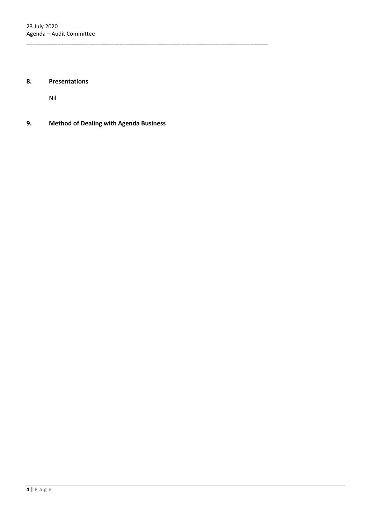# **8. Presentations**

Nil

**9. Method of Dealing with Agenda Business**

\_\_\_\_\_\_\_\_\_\_\_\_\_\_\_\_\_\_\_\_\_\_\_\_\_\_\_\_\_\_\_\_\_\_\_\_\_\_\_\_\_\_\_\_\_\_\_\_\_\_\_\_\_\_\_\_\_\_\_\_\_\_\_\_\_\_\_\_\_\_\_\_\_\_\_\_\_\_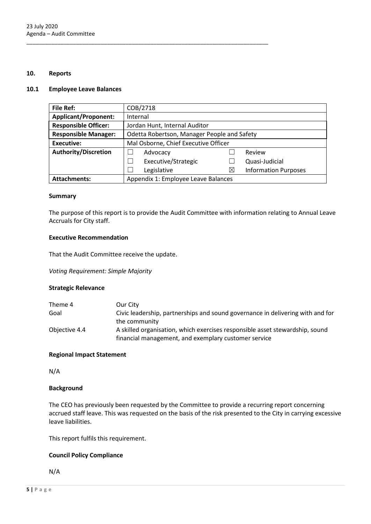### **10. Reports**

#### **10.1 Employee Leave Balances**

| <b>File Ref:</b>            | COB/2718                                    |   |                             |
|-----------------------------|---------------------------------------------|---|-----------------------------|
| <b>Applicant/Proponent:</b> | Internal                                    |   |                             |
| <b>Responsible Officer:</b> | Jordan Hunt, Internal Auditor               |   |                             |
| <b>Responsible Manager:</b> | Odetta Robertson, Manager People and Safety |   |                             |
| <b>Executive:</b>           | Mal Osborne, Chief Executive Officer        |   |                             |
| <b>Authority/Discretion</b> | Advocacy                                    |   | Review                      |
|                             | Executive/Strategic                         |   | Quasi-Judicial              |
|                             | Legislative                                 | Χ | <b>Information Purposes</b> |
| <b>Attachments:</b>         | Appendix 1: Employee Leave Balances         |   |                             |

\_\_\_\_\_\_\_\_\_\_\_\_\_\_\_\_\_\_\_\_\_\_\_\_\_\_\_\_\_\_\_\_\_\_\_\_\_\_\_\_\_\_\_\_\_\_\_\_\_\_\_\_\_\_\_\_\_\_\_\_\_\_\_\_\_\_\_\_\_\_\_\_\_\_\_\_\_\_

### **Summary**

The purpose of this report is to provide the Audit Committee with information relating to Annual Leave Accruals for City staff.

#### **Executive Recommendation**

That the Audit Committee receive the update.

*Voting Requirement: Simple Majority*

### **Strategic Relevance**

| Theme 4       | Our City                                                                       |
|---------------|--------------------------------------------------------------------------------|
| Goal          | Civic leadership, partnerships and sound governance in delivering with and for |
|               | the community                                                                  |
| Objective 4.4 | A skilled organisation, which exercises responsible asset stewardship, sound   |
|               | financial management, and exemplary customer service                           |

### **Regional Impact Statement**

N/A

### **Background**

The CEO has previously been requested by the Committee to provide a recurring report concerning accrued staff leave. This was requested on the basis of the risk presented to the City in carrying excessive leave liabilities.

This report fulfils this requirement.

### **Council Policy Compliance**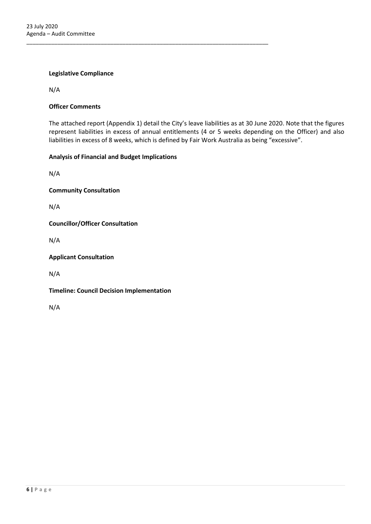### **Legislative Compliance**

N/A

### **Officer Comments**

The attached report (Appendix 1) detail the City's leave liabilities as at 30 June 2020. Note that the figures represent liabilities in excess of annual entitlements (4 or 5 weeks depending on the Officer) and also liabilities in excess of 8 weeks, which is defined by Fair Work Australia as being "excessive".

#### **Analysis of Financial and Budget Implications**

\_\_\_\_\_\_\_\_\_\_\_\_\_\_\_\_\_\_\_\_\_\_\_\_\_\_\_\_\_\_\_\_\_\_\_\_\_\_\_\_\_\_\_\_\_\_\_\_\_\_\_\_\_\_\_\_\_\_\_\_\_\_\_\_\_\_\_\_\_\_\_\_\_\_\_\_\_\_

N/A

**Community Consultation**

N/A

**Councillor/Officer Consultation**

N/A

**Applicant Consultation**

N/A

**Timeline: Council Decision Implementation**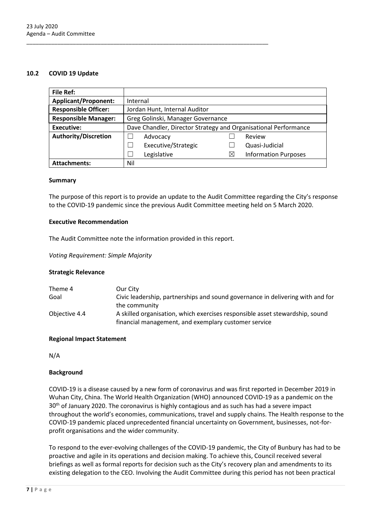#### **10.2 COVID 19 Update**

| <b>File Ref:</b>            |                                                                 |             |                             |
|-----------------------------|-----------------------------------------------------------------|-------------|-----------------------------|
| <b>Applicant/Proponent:</b> | Internal                                                        |             |                             |
| <b>Responsible Officer:</b> | Jordan Hunt, Internal Auditor                                   |             |                             |
| <b>Responsible Manager:</b> | Greg Golinski, Manager Governance                               |             |                             |
| <b>Executive:</b>           | Dave Chandler, Director Strategy and Organisational Performance |             |                             |
| <b>Authority/Discretion</b> | Advocacy                                                        |             | Review                      |
|                             | Executive/Strategic                                             |             | Quasi-Judicial              |
|                             | Legislative                                                     | $\boxtimes$ | <b>Information Purposes</b> |
| <b>Attachments:</b>         | Nil                                                             |             |                             |

#### **Summary**

The purpose of this report is to provide an update to the Audit Committee regarding the City's response to the COVID-19 pandemic since the previous Audit Committee meeting held on 5 March 2020.

#### **Executive Recommendation**

The Audit Committee note the information provided in this report.

\_\_\_\_\_\_\_\_\_\_\_\_\_\_\_\_\_\_\_\_\_\_\_\_\_\_\_\_\_\_\_\_\_\_\_\_\_\_\_\_\_\_\_\_\_\_\_\_\_\_\_\_\_\_\_\_\_\_\_\_\_\_\_\_\_\_\_\_\_\_\_\_\_\_\_\_\_\_

*Voting Requirement: Simple Majority*

### **Strategic Relevance**

| Theme 4       | Our City                                                                       |
|---------------|--------------------------------------------------------------------------------|
| Goal          | Civic leadership, partnerships and sound governance in delivering with and for |
|               | the community                                                                  |
| Objective 4.4 | A skilled organisation, which exercises responsible asset stewardship, sound   |
|               | financial management, and exemplary customer service                           |

### **Regional Impact Statement**

N/A

### **Background**

COVID-19 is a disease caused by a new form of coronavirus and was first reported in December 2019 in Wuhan City, China. The World Health Organization (WHO) announced COVID-19 as a pandemic on the 30<sup>th</sup> of January 2020. The coronavirus is highly contagious and as such has had a severe impact throughout the world's economies, communications, travel and supply chains. The Health response to the COVID-19 pandemic placed unprecedented financial uncertainty on Government, businesses, not-forprofit organisations and the wider community.

To respond to the ever-evolving challenges of the COVID-19 pandemic, the City of Bunbury has had to be proactive and agile in its operations and decision making. To achieve this, Council received several briefings as well as formal reports for decision such as the City's recovery plan and amendments to its existing delegation to the CEO. Involving the Audit Committee during this period has not been practical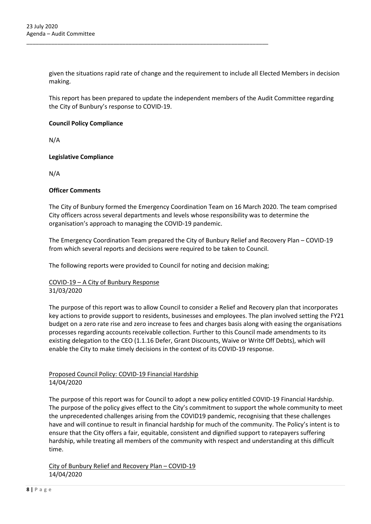given the situations rapid rate of change and the requirement to include all Elected Members in decision making.

\_\_\_\_\_\_\_\_\_\_\_\_\_\_\_\_\_\_\_\_\_\_\_\_\_\_\_\_\_\_\_\_\_\_\_\_\_\_\_\_\_\_\_\_\_\_\_\_\_\_\_\_\_\_\_\_\_\_\_\_\_\_\_\_\_\_\_\_\_\_\_\_\_\_\_\_\_\_

This report has been prepared to update the independent members of the Audit Committee regarding the City of Bunbury's response to COVID-19.

### **Council Policy Compliance**

N/A

### **Legislative Compliance**

N/A

### **Officer Comments**

The City of Bunbury formed the Emergency Coordination Team on 16 March 2020. The team comprised City officers across several departments and levels whose responsibility was to determine the organisation's approach to managing the COVID-19 pandemic.

The Emergency Coordination Team prepared the City of Bunbury Relief and Recovery Plan – COVID-19 from which several reports and decisions were required to be taken to Council.

The following reports were provided to Council for noting and decision making;

### COVID-19 – A City of Bunbury Response 31/03/2020

The purpose of this report was to allow Council to consider a Relief and Recovery plan that incorporates key actions to provide support to residents, businesses and employees. The plan involved setting the FY21 budget on a zero rate rise and zero increase to fees and charges basis along with easing the organisations processes regarding accounts receivable collection. Further to this Council made amendments to its existing delegation to the CEO (1.1.16 Defer, Grant Discounts, Waive or Write Off Debts), which will enable the City to make timely decisions in the context of its COVID-19 response.

# Proposed Council Policy: COVID-19 Financial Hardship 14/04/2020

The purpose of this report was for Council to adopt a new policy entitled COVID-19 Financial Hardship. The purpose of the policy gives effect to the City's commitment to support the whole community to meet the unprecedented challenges arising from the COVID19 pandemic, recognising that these challenges have and will continue to result in financial hardship for much of the community. The Policy's intent is to ensure that the City offers a fair, equitable, consistent and dignified support to ratepayers suffering hardship, while treating all members of the community with respect and understanding at this difficult time.

City of Bunbury Relief and Recovery Plan – COVID-19 14/04/2020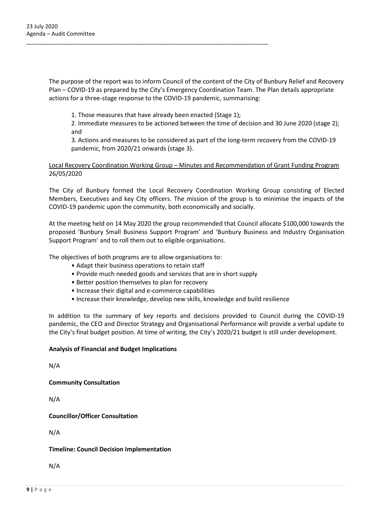The purpose of the report was to inform Council of the content of the City of Bunbury Relief and Recovery Plan – COVID-19 as prepared by the City's Emergency Coordination Team. The Plan details appropriate actions for a three-stage response to the COVID-19 pandemic, summarising:

1. Those measures that have already been enacted (Stage 1);

\_\_\_\_\_\_\_\_\_\_\_\_\_\_\_\_\_\_\_\_\_\_\_\_\_\_\_\_\_\_\_\_\_\_\_\_\_\_\_\_\_\_\_\_\_\_\_\_\_\_\_\_\_\_\_\_\_\_\_\_\_\_\_\_\_\_\_\_\_\_\_\_\_\_\_\_\_\_

2. Immediate measures to be actioned between the time of decision and 30 June 2020 (stage 2); and

3. Actions and measures to be considered as part of the long-term recovery from the COVID-19 pandemic, from 2020/21 onwards (stage 3).

## Local Recovery Coordination Working Group – Minutes and Recommendation of Grant Funding Program 26/05/2020

The City of Bunbury formed the Local Recovery Coordination Working Group consisting of Elected Members, Executives and key City officers. The mission of the group is to minimise the impacts of the COVID-19 pandemic upon the community, both economically and socially.

At the meeting held on 14 May 2020 the group recommended that Council allocate \$100,000 towards the proposed 'Bunbury Small Business Support Program' and 'Bunbury Business and Industry Organisation Support Program' and to roll them out to eligible organisations.

The objectives of both programs are to allow organisations to:

- Adapt their business operations to retain staff
- Provide much needed goods and services that are in short supply
- Better position themselves to plan for recovery
- Increase their digital and e-commerce capabilities
- Increase their knowledge, develop new skills, knowledge and build resilience

In addition to the summary of key reports and decisions provided to Council during the COVID-19 pandemic, the CEO and Director Strategy and Organisational Performance will provide a verbal update to the City's final budget position. At time of writing, the City's 2020/21 budget is still under development.

### **Analysis of Financial and Budget Implications**

N/A

**Community Consultation**

N/A

# **Councillor/Officer Consultation**

N/A

### **Timeline: Council Decision Implementation**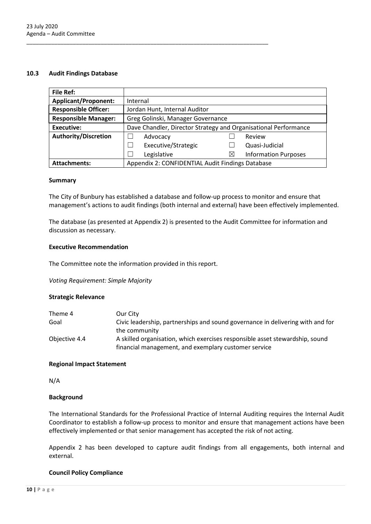#### **10.3 Audit Findings Database**

| <b>File Ref:</b>            |                                                                 |           |                             |
|-----------------------------|-----------------------------------------------------------------|-----------|-----------------------------|
| <b>Applicant/Proponent:</b> | Internal                                                        |           |                             |
| <b>Responsible Officer:</b> | Jordan Hunt, Internal Auditor                                   |           |                             |
| <b>Responsible Manager:</b> | Greg Golinski, Manager Governance                               |           |                             |
| <b>Executive:</b>           | Dave Chandler, Director Strategy and Organisational Performance |           |                             |
| <b>Authority/Discretion</b> | Advocacy                                                        |           | Review                      |
|                             | Executive/Strategic                                             |           | Quasi-Judicial              |
|                             | Legislative                                                     | $\bowtie$ | <b>Information Purposes</b> |
| <b>Attachments:</b>         | Appendix 2: CONFIDENTIAL Audit Findings Database                |           |                             |

\_\_\_\_\_\_\_\_\_\_\_\_\_\_\_\_\_\_\_\_\_\_\_\_\_\_\_\_\_\_\_\_\_\_\_\_\_\_\_\_\_\_\_\_\_\_\_\_\_\_\_\_\_\_\_\_\_\_\_\_\_\_\_\_\_\_\_\_\_\_\_\_\_\_\_\_\_\_

#### **Summary**

The City of Bunbury has established a database and follow-up process to monitor and ensure that management's actions to audit findings (both internal and external) have been effectively implemented.

The database (as presented at Appendix 2) is presented to the Audit Committee for information and discussion as necessary.

#### **Executive Recommendation**

The Committee note the information provided in this report.

*Voting Requirement: Simple Majority*

### **Strategic Relevance**

| Theme 4       | Our City                                                                       |
|---------------|--------------------------------------------------------------------------------|
| Goal          | Civic leadership, partnerships and sound governance in delivering with and for |
|               | the community                                                                  |
| Objective 4.4 | A skilled organisation, which exercises responsible asset stewardship, sound   |
|               | financial management, and exemplary customer service                           |

#### **Regional Impact Statement**

N/A

### **Background**

The International Standards for the Professional Practice of Internal Auditing requires the Internal Audit Coordinator to establish a follow-up process to monitor and ensure that management actions have been effectively implemented or that senior management has accepted the risk of not acting.

Appendix 2 has been developed to capture audit findings from all engagements, both internal and external.

### **Council Policy Compliance**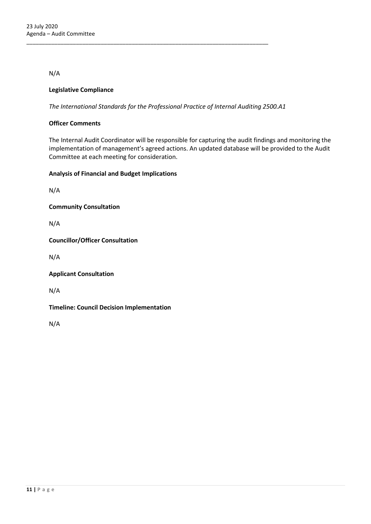N/A

### **Legislative Compliance**

*The International Standards for the Professional Practice of Internal Auditing 2500.A1*

\_\_\_\_\_\_\_\_\_\_\_\_\_\_\_\_\_\_\_\_\_\_\_\_\_\_\_\_\_\_\_\_\_\_\_\_\_\_\_\_\_\_\_\_\_\_\_\_\_\_\_\_\_\_\_\_\_\_\_\_\_\_\_\_\_\_\_\_\_\_\_\_\_\_\_\_\_\_

### **Officer Comments**

The Internal Audit Coordinator will be responsible for capturing the audit findings and monitoring the implementation of management's agreed actions. An updated database will be provided to the Audit Committee at each meeting for consideration.

### **Analysis of Financial and Budget Implications**

N/A

**Community Consultation**

N/A

**Councillor/Officer Consultation**

N/A

**Applicant Consultation**

N/A

### **Timeline: Council Decision Implementation**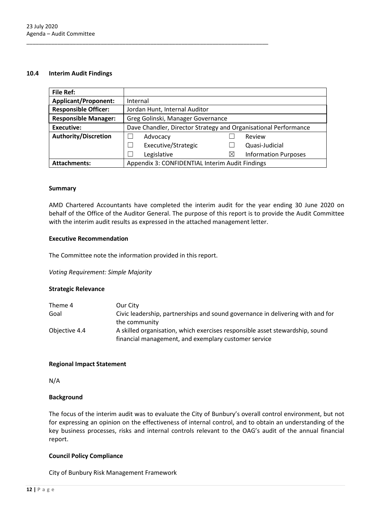#### **10.4 Interim Audit Findings**

| <b>File Ref:</b>            |                                                                 |   |                             |
|-----------------------------|-----------------------------------------------------------------|---|-----------------------------|
| <b>Applicant/Proponent:</b> | Internal                                                        |   |                             |
| <b>Responsible Officer:</b> | Jordan Hunt, Internal Auditor                                   |   |                             |
| <b>Responsible Manager:</b> | Greg Golinski, Manager Governance                               |   |                             |
| <b>Executive:</b>           | Dave Chandler, Director Strategy and Organisational Performance |   |                             |
| <b>Authority/Discretion</b> | Advocacy                                                        |   | Review                      |
|                             | Executive/Strategic                                             |   | Quasi-Judicial              |
|                             | Legislative                                                     | ⊠ | <b>Information Purposes</b> |
| <b>Attachments:</b>         | Appendix 3: CONFIDENTIAL Interim Audit Findings                 |   |                             |

#### **Summary**

AMD Chartered Accountants have completed the interim audit for the year ending 30 June 2020 on behalf of the Office of the Auditor General. The purpose of this report is to provide the Audit Committee with the interim audit results as expressed in the attached management letter.

### **Executive Recommendation**

The Committee note the information provided in this report.

\_\_\_\_\_\_\_\_\_\_\_\_\_\_\_\_\_\_\_\_\_\_\_\_\_\_\_\_\_\_\_\_\_\_\_\_\_\_\_\_\_\_\_\_\_\_\_\_\_\_\_\_\_\_\_\_\_\_\_\_\_\_\_\_\_\_\_\_\_\_\_\_\_\_\_\_\_\_

*Voting Requirement: Simple Majority*

### **Strategic Relevance**

| Theme 4       | Our City                                                                       |
|---------------|--------------------------------------------------------------------------------|
| Goal          | Civic leadership, partnerships and sound governance in delivering with and for |
|               | the community                                                                  |
| Objective 4.4 | A skilled organisation, which exercises responsible asset stewardship, sound   |
|               | financial management, and exemplary customer service                           |

### **Regional Impact Statement**

N/A

### **Background**

The focus of the interim audit was to evaluate the City of Bunbury's overall control environment, but not for expressing an opinion on the effectiveness of internal control, and to obtain an understanding of the key business processes, risks and internal controls relevant to the OAG's audit of the annual financial report.

### **Council Policy Compliance**

City of Bunbury Risk Management Framework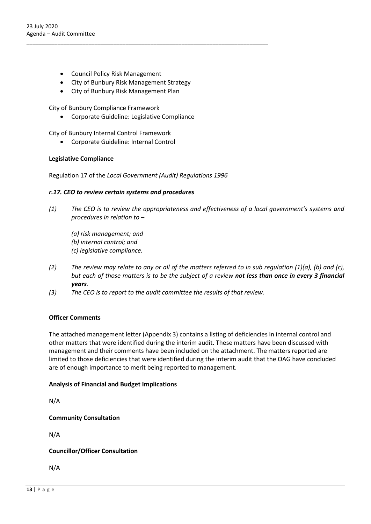- Council Policy Risk Management
- City of Bunbury Risk Management Strategy

\_\_\_\_\_\_\_\_\_\_\_\_\_\_\_\_\_\_\_\_\_\_\_\_\_\_\_\_\_\_\_\_\_\_\_\_\_\_\_\_\_\_\_\_\_\_\_\_\_\_\_\_\_\_\_\_\_\_\_\_\_\_\_\_\_\_\_\_\_\_\_\_\_\_\_\_\_\_

• City of Bunbury Risk Management Plan

City of Bunbury Compliance Framework

• Corporate Guideline: Legislative Compliance

City of Bunbury Internal Control Framework

• Corporate Guideline: Internal Control

### **Legislative Compliance**

Regulation 17 of the *Local Government (Audit) Regulations 1996*

### *r.17. CEO to review certain systems and procedures*

- *(1) The CEO is to review the appropriateness and effectiveness of a local government's systems and procedures in relation to –*
	- *(a) risk management; and (b) internal control; and*
	- *(c) legislative compliance.*
- *(2) The review may relate to any or all of the matters referred to in sub regulation (1)(a), (b) and (c), but each of those matters is to be the subject of a review not less than once in every 3 financial years.*
- *(3) The CEO is to report to the audit committee the results of that review.*

### **Officer Comments**

The attached management letter (Appendix 3) contains a listing of deficiencies in internal control and other matters that were identified during the interim audit. These matters have been discussed with management and their comments have been included on the attachment. The matters reported are limited to those deficiencies that were identified during the interim audit that the OAG have concluded are of enough importance to merit being reported to management.

### **Analysis of Financial and Budget Implications**

N/A

# **Community Consultation**

N/A

# **Councillor/Officer Consultation**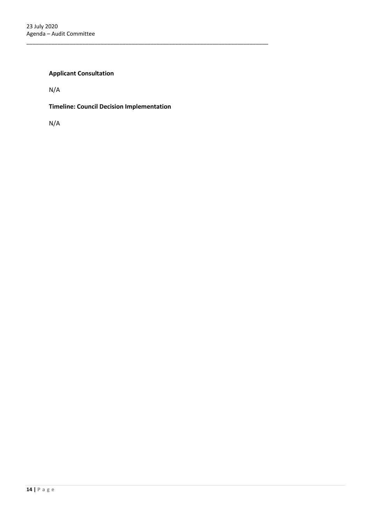# **Applicant Consultation**

N/A

**Timeline: Council Decision Implementation**

\_\_\_\_\_\_\_\_\_\_\_\_\_\_\_\_\_\_\_\_\_\_\_\_\_\_\_\_\_\_\_\_\_\_\_\_\_\_\_\_\_\_\_\_\_\_\_\_\_\_\_\_\_\_\_\_\_\_\_\_\_\_\_\_\_\_\_\_\_\_\_\_\_\_\_\_\_\_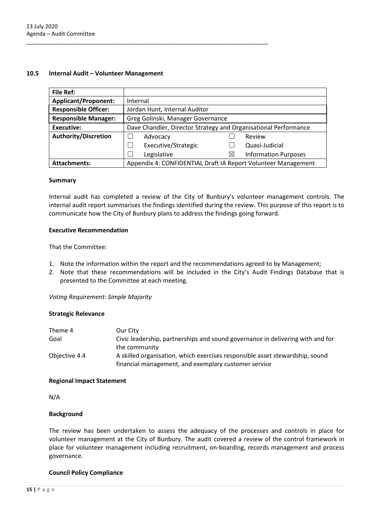### **10.5 Internal Audit – Volunteer Management**

| <b>File Ref:</b>            |                                                                 |   |                             |
|-----------------------------|-----------------------------------------------------------------|---|-----------------------------|
| <b>Applicant/Proponent:</b> | Internal                                                        |   |                             |
| <b>Responsible Officer:</b> | Jordan Hunt, Internal Auditor                                   |   |                             |
| <b>Responsible Manager:</b> | Greg Golinski, Manager Governance                               |   |                             |
| <b>Executive:</b>           | Dave Chandler, Director Strategy and Organisational Performance |   |                             |
| <b>Authority/Discretion</b> | Advocacy                                                        |   | Review                      |
|                             | Executive/Strategic                                             |   | Quasi-Judicial              |
|                             | Legislative                                                     | ⊠ | <b>Information Purposes</b> |
| <b>Attachments:</b>         | Appendix 4: CONFIDENTIAL Draft IA Report Volunteer Management   |   |                             |

\_\_\_\_\_\_\_\_\_\_\_\_\_\_\_\_\_\_\_\_\_\_\_\_\_\_\_\_\_\_\_\_\_\_\_\_\_\_\_\_\_\_\_\_\_\_\_\_\_\_\_\_\_\_\_\_\_\_\_\_\_\_\_\_\_\_\_\_\_\_\_\_\_\_\_\_\_\_

#### **Summary**

Internal audit has completed a review of the City of Bunbury's volunteer management controls. The internal audit report summarises the findings identified during the review. This purpose of this report is to communicate how the City of Bunbury plans to address the findings going forward.

#### **Executive Recommendation**

That the Committee:

- 1. Note the information within the report and the recommendations agreed to by Management;
- 2. Note that these recommendations will be included in the City's Audit Findings Database that is presented to the Committee at each meeting.

*Voting Requirement: Simple Majority*

### **Strategic Relevance**

| Theme 4       | Our City                                                                       |
|---------------|--------------------------------------------------------------------------------|
| Goal          | Civic leadership, partnerships and sound governance in delivering with and for |
|               | the community                                                                  |
| Objective 4.4 | A skilled organisation, which exercises responsible asset stewardship, sound   |
|               | financial management, and exemplary customer service                           |

#### **Regional Impact Statement**

N/A

### **Background**

The review has been undertaken to assess the adequacy of the processes and controls in place for volunteer management at the City of Bunbury. The audit covered a review of the control framework in place for volunteer management including recruitment, on-boarding, records management and process governance.

### **Council Policy Compliance**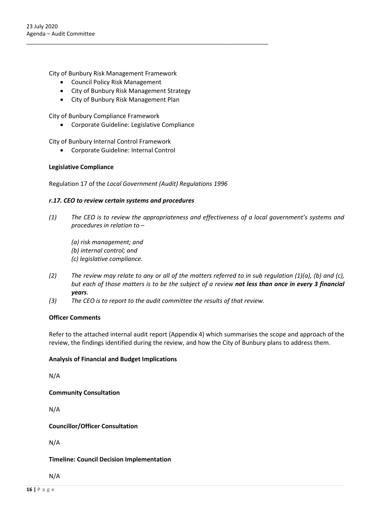City of Bunbury Risk Management Framework

- Council Policy Risk Management
- City of Bunbury Risk Management Strategy

\_\_\_\_\_\_\_\_\_\_\_\_\_\_\_\_\_\_\_\_\_\_\_\_\_\_\_\_\_\_\_\_\_\_\_\_\_\_\_\_\_\_\_\_\_\_\_\_\_\_\_\_\_\_\_\_\_\_\_\_\_\_\_\_\_\_\_\_\_\_\_\_\_\_\_\_\_\_

• City of Bunbury Risk Management Plan

City of Bunbury Compliance Framework

• Corporate Guideline: Legislative Compliance

City of Bunbury Internal Control Framework

• Corporate Guideline: Internal Control

### **Legislative Compliance**

Regulation 17 of the *Local Government (Audit) Regulations 1996*

#### *r.17. CEO to review certain systems and procedures*

- *(1) The CEO is to review the appropriateness and effectiveness of a local government's systems and procedures in relation to –*
	- *(a) risk management; and*
	- *(b) internal control; and (c) legislative compliance.*
- *(2) The review may relate to any or all of the matters referred to in sub regulation (1)(a), (b) and (c), but each of those matters is to be the subject of a review not less than once in every 3 financial years.*
- *(3) The CEO is to report to the audit committee the results of that review.*

### **Officer Comments**

Refer to the attached internal audit report (Appendix 4) which summarises the scope and approach of the review, the findings identified during the review, and how the City of Bunbury plans to address them.

### **Analysis of Financial and Budget Implications**

N/A

**Community Consultation**

N/A

**Councillor/Officer Consultation**

N/A

### **Timeline: Council Decision Implementation**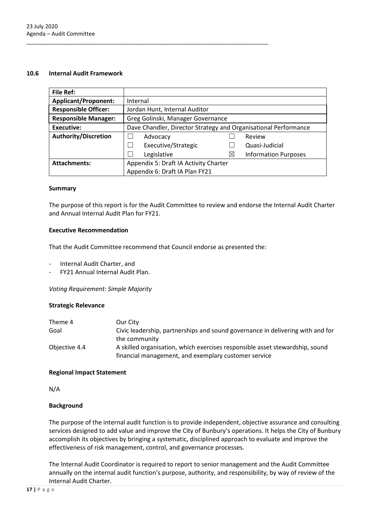### **10.6 Internal Audit Framework**

| <b>File Ref:</b>            |                                                                 |                                   |                             |  |  |  |  |
|-----------------------------|-----------------------------------------------------------------|-----------------------------------|-----------------------------|--|--|--|--|
| <b>Applicant/Proponent:</b> | Internal                                                        |                                   |                             |  |  |  |  |
| <b>Responsible Officer:</b> | Jordan Hunt, Internal Auditor                                   |                                   |                             |  |  |  |  |
| <b>Responsible Manager:</b> |                                                                 | Greg Golinski, Manager Governance |                             |  |  |  |  |
| Executive:                  | Dave Chandler, Director Strategy and Organisational Performance |                                   |                             |  |  |  |  |
| <b>Authority/Discretion</b> | Advocacy                                                        |                                   | Review                      |  |  |  |  |
|                             | Executive/Strategic                                             |                                   | Quasi-Judicial              |  |  |  |  |
|                             | Legislative                                                     | $\times$                          | <b>Information Purposes</b> |  |  |  |  |
| <b>Attachments:</b>         | Appendix 5: Draft IA Activity Charter                           |                                   |                             |  |  |  |  |
|                             | Appendix 6: Draft IA Plan FY21                                  |                                   |                             |  |  |  |  |

#### **Summary**

The purpose of this report is for the Audit Committee to review and endorse the Internal Audit Charter and Annual Internal Audit Plan for FY21.

### **Executive Recommendation**

That the Audit Committee recommend that Council endorse as presented the:

\_\_\_\_\_\_\_\_\_\_\_\_\_\_\_\_\_\_\_\_\_\_\_\_\_\_\_\_\_\_\_\_\_\_\_\_\_\_\_\_\_\_\_\_\_\_\_\_\_\_\_\_\_\_\_\_\_\_\_\_\_\_\_\_\_\_\_\_\_\_\_\_\_\_\_\_\_\_

- Internal Audit Charter, and
- FY21 Annual Internal Audit Plan.

*Voting Requirement: Simple Majority*

### **Strategic Relevance**

| Theme 4       | Our City                                                                       |
|---------------|--------------------------------------------------------------------------------|
| Goal          | Civic leadership, partnerships and sound governance in delivering with and for |
|               | the community                                                                  |
| Objective 4.4 | A skilled organisation, which exercises responsible asset stewardship, sound   |
|               | financial management, and exemplary customer service                           |

### **Regional Impact Statement**

N/A

### **Background**

The purpose of the internal audit function is to provide independent, objective assurance and consulting services designed to add value and improve the City of Bunbury's operations. It helps the City of Bunbury accomplish its objectives by bringing a systematic, disciplined approach to evaluate and improve the effectiveness of risk management, control, and governance processes.

The Internal Audit Coordinator is required to report to senior management and the Audit Committee annually on the internal audit function's purpose, authority, and responsibility, by way of review of the Internal Audit Charter.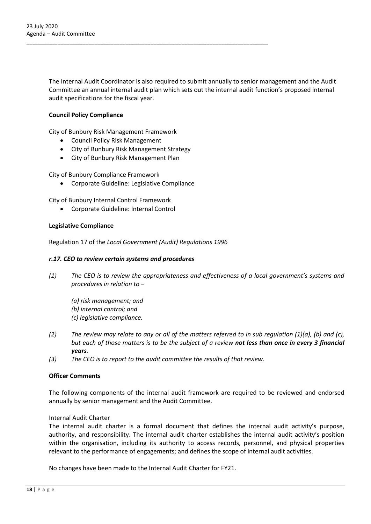The Internal Audit Coordinator is also required to submit annually to senior management and the Audit Committee an annual internal audit plan which sets out the internal audit function's proposed internal audit specifications for the fiscal year.

### **Council Policy Compliance**

City of Bunbury Risk Management Framework

- Council Policy Risk Management
- City of Bunbury Risk Management Strategy

\_\_\_\_\_\_\_\_\_\_\_\_\_\_\_\_\_\_\_\_\_\_\_\_\_\_\_\_\_\_\_\_\_\_\_\_\_\_\_\_\_\_\_\_\_\_\_\_\_\_\_\_\_\_\_\_\_\_\_\_\_\_\_\_\_\_\_\_\_\_\_\_\_\_\_\_\_\_

• City of Bunbury Risk Management Plan

City of Bunbury Compliance Framework

• Corporate Guideline: Legislative Compliance

City of Bunbury Internal Control Framework

• Corporate Guideline: Internal Control

### **Legislative Compliance**

Regulation 17 of the *Local Government (Audit) Regulations 1996*

### *r.17. CEO to review certain systems and procedures*

- *(1) The CEO is to review the appropriateness and effectiveness of a local government's systems and procedures in relation to –*
	- *(a) risk management; and (b) internal control; and (c) legislative compliance.*
- *(2) The review may relate to any or all of the matters referred to in sub regulation (1)(a), (b) and (c), but each of those matters is to be the subject of a review not less than once in every 3 financial years.*
- *(3) The CEO is to report to the audit committee the results of that review.*

### **Officer Comments**

The following components of the internal audit framework are required to be reviewed and endorsed annually by senior management and the Audit Committee.

### Internal Audit Charter

The internal audit charter is a formal document that defines the internal audit activity's purpose, authority, and responsibility. The internal audit charter establishes the internal audit activity's position within the organisation, including its authority to access records, personnel, and physical properties relevant to the performance of engagements; and defines the scope of internal audit activities.

No changes have been made to the Internal Audit Charter for FY21.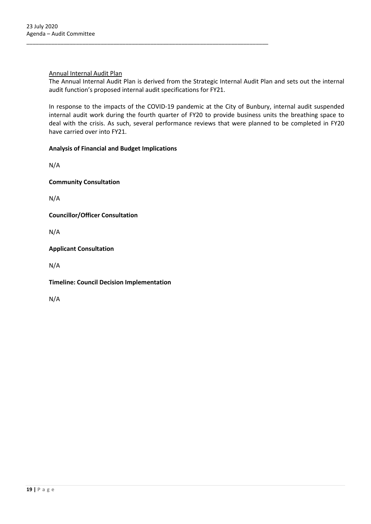### Annual Internal Audit Plan

The Annual Internal Audit Plan is derived from the Strategic Internal Audit Plan and sets out the internal audit function's proposed internal audit specifications for FY21.

In response to the impacts of the COVID-19 pandemic at the City of Bunbury, internal audit suspended internal audit work during the fourth quarter of FY20 to provide business units the breathing space to deal with the crisis. As such, several performance reviews that were planned to be completed in FY20 have carried over into FY21.

### **Analysis of Financial and Budget Implications**

\_\_\_\_\_\_\_\_\_\_\_\_\_\_\_\_\_\_\_\_\_\_\_\_\_\_\_\_\_\_\_\_\_\_\_\_\_\_\_\_\_\_\_\_\_\_\_\_\_\_\_\_\_\_\_\_\_\_\_\_\_\_\_\_\_\_\_\_\_\_\_\_\_\_\_\_\_\_

N/A

**Community Consultation**

N/A

**Councillor/Officer Consultation**

N/A

**Applicant Consultation**

N/A

**Timeline: Council Decision Implementation**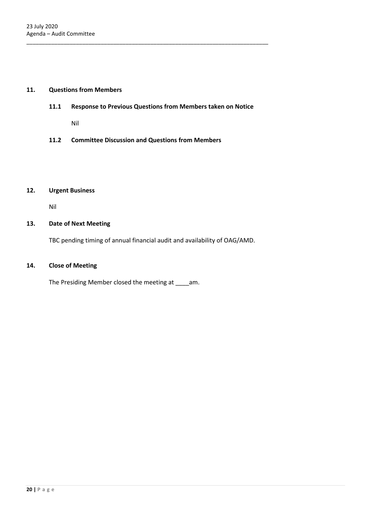### **11. Questions from Members**

**11.1 Response to Previous Questions from Members taken on Notice**

\_\_\_\_\_\_\_\_\_\_\_\_\_\_\_\_\_\_\_\_\_\_\_\_\_\_\_\_\_\_\_\_\_\_\_\_\_\_\_\_\_\_\_\_\_\_\_\_\_\_\_\_\_\_\_\_\_\_\_\_\_\_\_\_\_\_\_\_\_\_\_\_\_\_\_\_\_\_

Nil

**11.2 Committee Discussion and Questions from Members** 

#### **12. Urgent Business**

Nil

### **13. Date of Next Meeting**

TBC pending timing of annual financial audit and availability of OAG/AMD.

### **14. Close of Meeting**

The Presiding Member closed the meeting at \_\_\_\_am.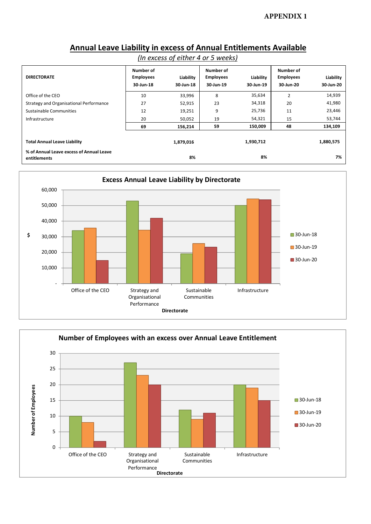# **Annual Leave Liability in excess of Annual Entitlements Available**

| (In excess of either 4 or 5 weeks) |
|------------------------------------|
|------------------------------------|

| <b>DIRECTORATE</b>                                       | Number of<br><b>Employees</b><br>30-Jun-18 | Liability<br>30-Jun-18 | <b>Number of</b><br><b>Employees</b><br>30-Jun-19 | Liability<br>30-Jun-19 | Number of<br><b>Employees</b><br>30-Jun-20 | Liability<br>30-Jun-20 |
|----------------------------------------------------------|--------------------------------------------|------------------------|---------------------------------------------------|------------------------|--------------------------------------------|------------------------|
| Office of the CEO                                        | 10                                         | 33,996                 | 8                                                 | 35,634                 | $\overline{2}$                             | 14,939                 |
| Strategy and Organisational Performance                  | 27                                         | 52,915                 | 23                                                | 34,318                 | 20                                         | 41,980                 |
| Sustainable Communities                                  | 12                                         | 19,251                 | 9                                                 | 25,736                 | 11                                         | 23,446                 |
| Infrastructure                                           | 20                                         | 50,052                 | 19                                                | 54,321                 | 15                                         | 53,744                 |
|                                                          | 69                                         | 156,214                | 59                                                | 150,009                | 48                                         | 134,109                |
| <b>Total Annual Leave Liability</b>                      |                                            | 1,879,016              |                                                   | 1,930,712              |                                            | 1,880,575              |
| % of Annual Leave excess of Annual Leave<br>entitlements |                                            | 8%                     |                                                   | 8%                     |                                            | 7%                     |



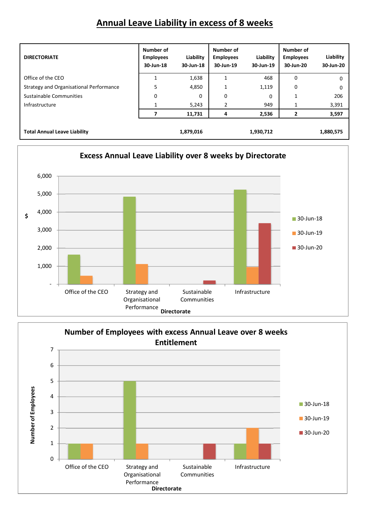# **Annual Leave Liability in excess of 8 weeks**

| <b>DIRECTORIATE</b>                     | Number of<br><b>Employees</b><br>30-Jun-18 | Liability<br>30-Jun-18 | Number of<br><b>Employees</b><br>30-Jun-19 | Liability<br>30-Jun-19 | Number of<br><b>Employees</b><br>30-Jun-20 | Liability<br>30-Jun-20 |
|-----------------------------------------|--------------------------------------------|------------------------|--------------------------------------------|------------------------|--------------------------------------------|------------------------|
| Office of the CEO                       |                                            | 1,638                  | 1                                          | 468                    | 0                                          |                        |
| Strategy and Organisational Performance | 5                                          | 4,850                  | 1                                          | 1,119                  | 0                                          | 0                      |
| Sustainable Communities                 | 0                                          | 0                      | 0                                          | 0                      | $\mathbf{1}$                               | 206                    |
| Infrastructure                          |                                            | 5,243                  | $\overline{2}$                             | 949                    |                                            | 3,391                  |
|                                         |                                            | 11,731                 | 4                                          | 2,536                  | $\mathbf{2}$                               | 3,597                  |
| <b>Total Annual Leave Liability</b>     |                                            | 1,879,016              |                                            | 1,930,712              |                                            | 1,880,575              |



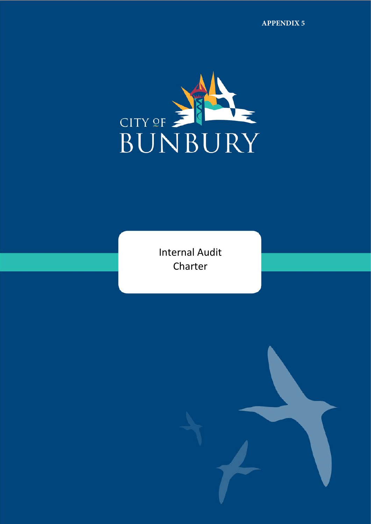**APPENDIX 5**



Internal Audit Charter

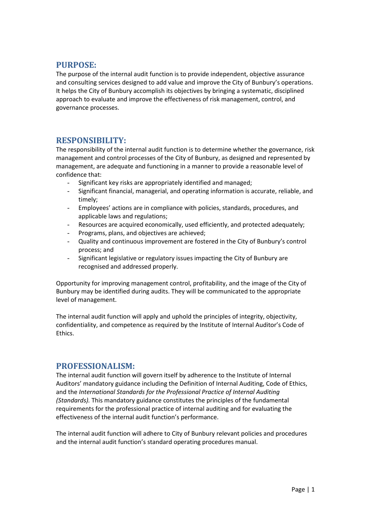# **PURPOSE:**

The purpose of the internal audit function is to provide independent, objective assurance and consulting services designed to add value and improve the City of Bunbury's operations. It helps the City of Bunbury accomplish its objectives by bringing a systematic, disciplined approach to evaluate and improve the effectiveness of risk management, control, and governance processes.

# **RESPONSIBILITY:**

The responsibility of the internal audit function is to determine whether the governance, risk management and control processes of the City of Bunbury, as designed and represented by management, are adequate and functioning in a manner to provide a reasonable level of confidence that:

- Significant key risks are appropriately identified and managed;
- Significant financial, managerial, and operating information is accurate, reliable, and timely;
- Employees' actions are in compliance with policies, standards, procedures, and applicable laws and regulations;
- Resources are acquired economically, used efficiently, and protected adequately;
- Programs, plans, and objectives are achieved;
- Quality and continuous improvement are fostered in the City of Bunbury's control process; and
- Significant legislative or regulatory issues impacting the City of Bunbury are recognised and addressed properly.

Opportunity for improving management control, profitability, and the image of the City of Bunbury may be identified during audits. They will be communicated to the appropriate level of management.

The internal audit function will apply and uphold the principles of integrity, objectivity, confidentiality, and competence as required by the Institute of Internal Auditor's Code of Ethics.

# **PROFESSIONALISM:**

The internal audit function will govern itself by adherence to the Institute of Internal Auditors' mandatory guidance including the Definition of Internal Auditing, Code of Ethics, and the *International Standards for the Professional Practice of Internal Auditing (Standards).* This mandatory guidance constitutes the principles of the fundamental requirements for the professional practice of internal auditing and for evaluating the effectiveness of the internal audit function's performance.

The internal audit function will adhere to City of Bunbury relevant policies and procedures and the internal audit function's standard operating procedures manual.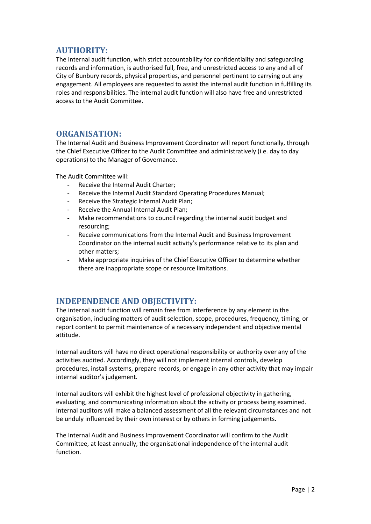# **AUTHORITY:**

The internal audit function, with strict accountability for confidentiality and safeguarding records and information, is authorised full, free, and unrestricted access to any and all of City of Bunbury records, physical properties, and personnel pertinent to carrying out any engagement. All employees are requested to assist the internal audit function in fulfilling its roles and responsibilities. The internal audit function will also have free and unrestricted access to the Audit Committee.

# **ORGANISATION:**

The Internal Audit and Business Improvement Coordinator will report functionally, through the Chief Executive Officer to the Audit Committee and administratively (i.e. day to day operations) to the Manager of Governance.

The Audit Committee will:

- Receive the Internal Audit Charter;
- Receive the Internal Audit Standard Operating Procedures Manual;
- Receive the Strategic Internal Audit Plan:
- Receive the Annual Internal Audit Plan;
- Make recommendations to council regarding the internal audit budget and resourcing;
- Receive communications from the Internal Audit and Business Improvement Coordinator on the internal audit activity's performance relative to its plan and other matters;
- Make appropriate inquiries of the Chief Executive Officer to determine whether there are inappropriate scope or resource limitations.

# **INDEPENDENCE AND OBJECTIVITY:**

The internal audit function will remain free from interference by any element in the organisation, including matters of audit selection, scope, procedures, frequency, timing, or report content to permit maintenance of a necessary independent and objective mental attitude.

Internal auditors will have no direct operational responsibility or authority over any of the activities audited. Accordingly, they will not implement internal controls, develop procedures, install systems, prepare records, or engage in any other activity that may impair internal auditor's judgement.

Internal auditors will exhibit the highest level of professional objectivity in gathering, evaluating, and communicating information about the activity or process being examined. Internal auditors will make a balanced assessment of all the relevant circumstances and not be unduly influenced by their own interest or by others in forming judgements.

The Internal Audit and Business Improvement Coordinator will confirm to the Audit Committee, at least annually, the organisational independence of the internal audit function.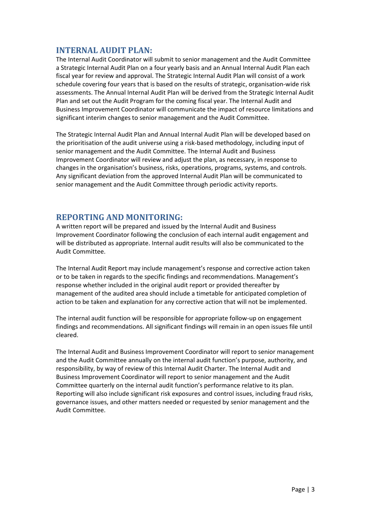# **INTERNAL AUDIT PLAN:**

The Internal Audit Coordinator will submit to senior management and the Audit Committee a Strategic Internal Audit Plan on a four yearly basis and an Annual Internal Audit Plan each fiscal year for review and approval. The Strategic Internal Audit Plan will consist of a work schedule covering four years that is based on the results of strategic, organisation-wide risk assessments. The Annual Internal Audit Plan will be derived from the Strategic Internal Audit Plan and set out the Audit Program for the coming fiscal year. The Internal Audit and Business Improvement Coordinator will communicate the impact of resource limitations and significant interim changes to senior management and the Audit Committee.

The Strategic Internal Audit Plan and Annual Internal Audit Plan will be developed based on the prioritisation of the audit universe using a risk-based methodology, including input of senior management and the Audit Committee. The Internal Audit and Business Improvement Coordinator will review and adjust the plan, as necessary, in response to changes in the organisation's business, risks, operations, programs, systems, and controls. Any significant deviation from the approved Internal Audit Plan will be communicated to senior management and the Audit Committee through periodic activity reports.

# **REPORTING AND MONITORING:**

A written report will be prepared and issued by the Internal Audit and Business Improvement Coordinator following the conclusion of each internal audit engagement and will be distributed as appropriate. Internal audit results will also be communicated to the Audit Committee.

The Internal Audit Report may include management's response and corrective action taken or to be taken in regards to the specific findings and recommendations. Management's response whether included in the original audit report or provided thereafter by management of the audited area should include a timetable for anticipated completion of action to be taken and explanation for any corrective action that will not be implemented.

The internal audit function will be responsible for appropriate follow-up on engagement findings and recommendations. All significant findings will remain in an open issues file until cleared.

The Internal Audit and Business Improvement Coordinator will report to senior management and the Audit Committee annually on the internal audit function's purpose, authority, and responsibility, by way of review of this Internal Audit Charter. The Internal Audit and Business Improvement Coordinator will report to senior management and the Audit Committee quarterly on the internal audit function's performance relative to its plan. Reporting will also include significant risk exposures and control issues, including fraud risks, governance issues, and other matters needed or requested by senior management and the Audit Committee.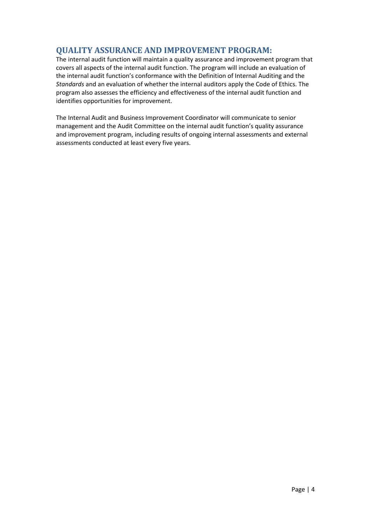# **QUALITY ASSURANCE AND IMPROVEMENT PROGRAM:**

The internal audit function will maintain a quality assurance and improvement program that covers all aspects of the internal audit function. The program will include an evaluation of the internal audit function's conformance with the Definition of Internal Auditing and the *Standards* and an evaluation of whether the internal auditors apply the Code of Ethics. The program also assesses the efficiency and effectiveness of the internal audit function and identifies opportunities for improvement.

The Internal Audit and Business Improvement Coordinator will communicate to senior management and the Audit Committee on the internal audit function's quality assurance and improvement program, including results of ongoing internal assessments and external assessments conducted at least every five years.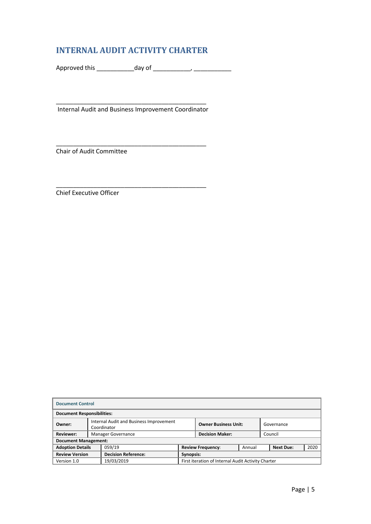# **INTERNAL AUDIT ACTIVITY CHARTER**

Approved this \_\_\_\_\_\_\_\_\_\_\_day of \_\_\_\_\_\_\_\_\_\_\_, \_\_\_\_\_\_\_\_\_\_\_

\_\_\_\_\_\_\_\_\_\_\_\_\_\_\_\_\_\_\_\_\_\_\_\_\_\_\_\_\_\_\_\_\_\_\_\_\_\_\_\_\_\_\_\_

\_\_\_\_\_\_\_\_\_\_\_\_\_\_\_\_\_\_\_\_\_\_\_\_\_\_\_\_\_\_\_\_\_\_\_\_\_\_\_\_\_\_\_\_ Internal Audit and Business Improvement Coordinator

\_\_\_\_\_\_\_\_\_\_\_\_\_\_\_\_\_\_\_\_\_\_\_\_\_\_\_\_\_\_\_\_\_\_\_\_\_\_\_\_\_\_\_\_

Chair of Audit Committee

Chief Executive Officer

| <b>Document Control</b>     |                                                                                                     |                                                         |                                                                |  |  |  |
|-----------------------------|-----------------------------------------------------------------------------------------------------|---------------------------------------------------------|----------------------------------------------------------------|--|--|--|
|                             | <b>Document Responsibilities:</b>                                                                   |                                                         |                                                                |  |  |  |
| Owner:                      | Internal Audit and Business Improvement<br><b>Owner Business Unit:</b><br>Governance<br>Coordinator |                                                         |                                                                |  |  |  |
| <b>Reviewer:</b>            |                                                                                                     | <b>Decision Maker:</b><br>Manager Governance<br>Council |                                                                |  |  |  |
| <b>Document Management:</b> |                                                                                                     |                                                         |                                                                |  |  |  |
| <b>Adoption Details</b>     |                                                                                                     | 059/19                                                  | <b>Next Due:</b><br>2020<br>Annual<br><b>Review Frequency:</b> |  |  |  |
|                             | <b>Decision Reference:</b><br><b>Review Version</b><br>Synopsis:                                    |                                                         |                                                                |  |  |  |
| Version 1.0                 |                                                                                                     | 19/03/2019                                              | First iteration of Internal Audit Activity Charter             |  |  |  |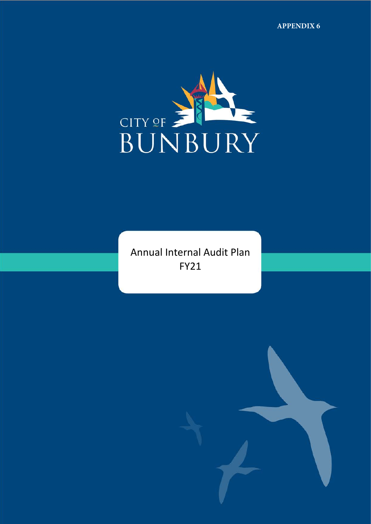

Annual Internal Audit Plan FY21

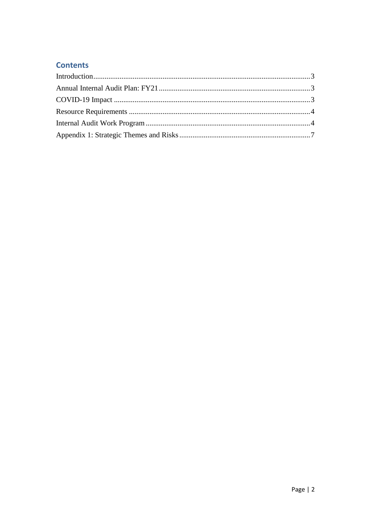# **Contents**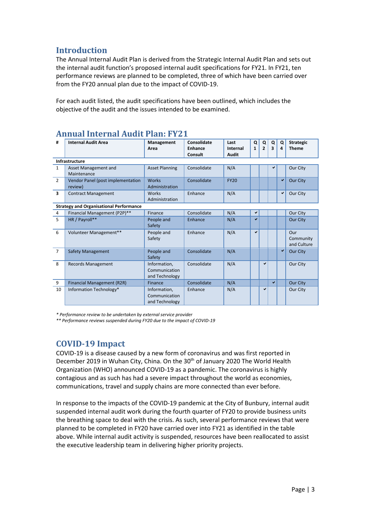# <span id="page-31-0"></span>**Introduction**

The Annual Internal Audit Plan is derived from the Strategic Internal Audit Plan and sets out the internal audit function's proposed internal audit specifications for FY21. In FY21, ten performance reviews are planned to be completed, three of which have been carried over from the FY20 annual plan due to the impact of COVID-19.

<span id="page-31-1"></span>For each audit listed, the audit specifications have been outlined, which includes the objective of the audit and the issues intended to be examined.

|                         | I MUI TIUUIL                                   |                                                 |                                   |                                  |                   |                     |        |        |                                  |
|-------------------------|------------------------------------------------|-------------------------------------------------|-----------------------------------|----------------------------------|-------------------|---------------------|--------|--------|----------------------------------|
| #                       | <b>Internal Audit Area</b>                     | Management<br>Area                              | Consolidate<br>Enhance<br>Consult | Last<br>Internal<br><b>Audit</b> | Q<br>$\mathbf{1}$ | Q<br>$\overline{2}$ | Q<br>3 | Q<br>4 | <b>Strategic</b><br><b>Theme</b> |
|                         | <b>Infrastructure</b>                          |                                                 |                                   |                                  |                   |                     |        |        |                                  |
| $\mathbf{1}$            | Asset Management and<br>Maintenance            | <b>Asset Planning</b>                           | Consolidate                       | N/A                              |                   |                     |        |        | Our City                         |
| $\overline{2}$          | Vendor Panel (post implementation<br>review)   | <b>Works</b><br>Administration                  | Consolidate                       | <b>FY20</b>                      |                   |                     |        | ✔      | <b>Our City</b>                  |
| $\overline{\mathbf{3}}$ | <b>Contract Management</b>                     | Works<br>Administration                         | Enhance                           | N/A                              |                   |                     |        | ✔      | Our City                         |
|                         | <b>Strategy and Organisational Performance</b> |                                                 |                                   |                                  |                   |                     |        |        |                                  |
| 4                       | Financial Management (P2P)**                   | Finance                                         | Consolidate                       | N/A                              | ✔                 |                     |        |        | Our City                         |
| 5                       | HR / Payroll**                                 | People and<br>Safety                            | Enhance                           | N/A                              | ✔                 |                     |        |        | <b>Our City</b>                  |
| 6                       | Volunteer Management**                         | People and<br>Safety                            | Enhance                           | N/A                              | ✔                 |                     |        |        | Our<br>Community<br>and Culture  |
| $\overline{7}$          | <b>Safety Management</b>                       | People and<br>Safety                            | Consolidate                       | N/A                              |                   |                     |        | ✔      | Our City                         |
| 8                       | <b>Records Management</b>                      | Information.<br>Communication<br>and Technology | Consolidate                       | N/A                              |                   | ✓                   |        |        | Our City                         |
| 9                       | <b>Financial Management (R2R)</b>              | Finance                                         | Consolidate                       | N/A                              |                   |                     | V      |        | Our City                         |
| 10                      | Information Technology*                        | Information,<br>Communication<br>and Technology | Enhance                           | N/A                              |                   | ✔                   |        |        | Our City                         |

# **Annual Internal Audit Plan: FY21**

*\* Performance review to be undertaken by external service provider*

<span id="page-31-2"></span>*\*\* Performance reviews suspended during FY20 due to the impact of COVID-19*

# **COVID-19 Impact**

COVID-19 is a disease caused by a new form of coronavirus and was first reported in December 2019 in Wuhan City, China. On the 30<sup>th</sup> of January 2020 The World Health Organization (WHO) announced COVID-19 as a pandemic. The coronavirus is highly contagious and as such has had a severe impact throughout the world as economies, communications, travel and supply chains are more connected than ever before.

In response to the impacts of the COVID-19 pandemic at the City of Bunbury, internal audit suspended internal audit work during the fourth quarter of FY20 to provide business units the breathing space to deal with the crisis. As such, several performance reviews that were planned to be completed in FY20 have carried over into FY21 as identified in the table above. While internal audit activity is suspended, resources have been reallocated to assist the executive leadership team in delivering higher priority projects.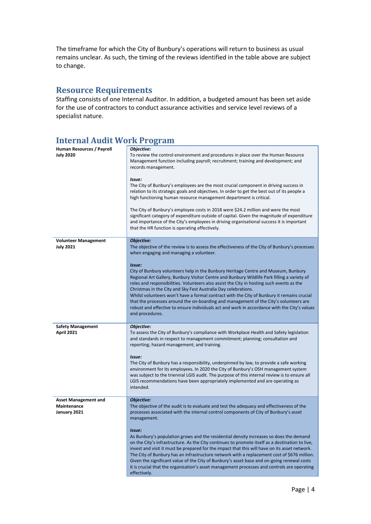The timeframe for which the City of Bunbury's operations will return to business as usual remains unclear. As such, the timing of the reviews identified in the table above are subject to change.

# <span id="page-32-0"></span>**Resource Requirements**

Staffing consists of one Internal Auditor. In addition, a budgeted amount has been set aside for the use of contractors to conduct assurance activities and service level reviews of a specialist nature.

#### <span id="page-32-1"></span>**Internal Audit Work Program Human Resources / Payroll July 2020** *Objective:* To review the control environment and procedures in place over the Human Resource Management function including payroll; recruitment; training and development; and records management. *Issue:* The City of Bunbury's employees are the most crucial component in driving success in relation to its strategic goals and objectives. In order to get the best out of its people a high functioning human resource management department is critical. The City of Bunbury's employee costs in 2018 were \$24.2 million and were the most significant category of expenditure outside of capital. Given the magnitude of expenditure and importance of the City's employees in driving organisational success it is important that the HR function is operating effectively. **Volunteer Management July 2021** *Objective:* The objective of the review is to assess the effectiveness of the City of Bunbury's processes when engaging and managing a volunteer. *Issue:* City of Bunbury volunteers help in the Bunbury Heritage Centre and Museum, Bunbury Regional Art Gallery, Bunbury Visitor Centre and Bunbury Wildlife Park filling a variety of roles and responsibilities. Volunteers also assist the City in hosting such events as the Christmas in the City and Sky Fest Australia Day celebrations. Whilst volunteers won't have a formal contract with the City of Bunbury it remains crucial that the processes around the on-boarding and management of the City's volunteers are robust and effective to ensure individuals act and work in accordance with the City's values and procedures. **Safety Management April 2021** *Objective:* To assess the City of Bunbury's compliance with Workplace Health and Safety legislation and standards in respect to management commitment; planning; consultation and reporting; hazard management; and training. *Issue:* The City of Bunbury has a responsibility, underpinned by law, to provide a safe working environment for its employees. In 2020 the City of Bunbury's OSH management system was subject to the triennial LGIS audit. The purpose of this internal review is to ensure all LGIS recommendations have been appropriately implemented and are operating as intended. **Asset Management and Maintenance January 2021** *Objective:* The objective of the audit is to evaluate and test the adequacy and effectiveness of the processes associated with the internal control components of City of Bunbury's asset management. *Issue:* As Bunbury's population grows and the residential density increases so does the demand on the City's infrastructure. As the City continues to promote itself as a destination to live,

invest and visit it must be prepared for the impact that this will have on its asset network. The City of Bunbury has an infrastructure network with a replacement cost of \$676 million. Given the significant value of the City of Bunbury's asset base and on-going renewal costs it is crucial that the organisation's asset management processes and controls are operating effectively.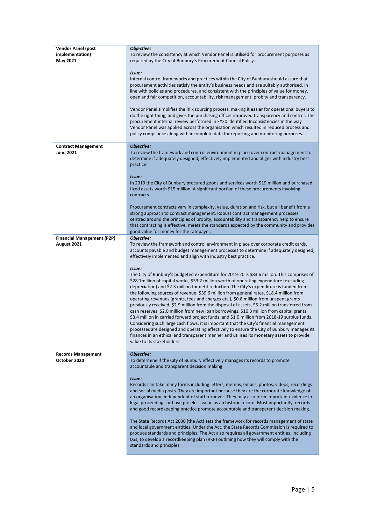| <b>Vendor Panel (post</b><br>implementation)<br>May 2021 | Objective:<br>To review the consistency at which Vendor Panel is utilised for procurement purposes as<br>required by the City of Bunbury's Procurement Council Policy.                                                                                                                                                                                                                                                                                                                                                                                                                                                                                                                                                                                                                                                                                                                                                                                                                                                                                                                                   |
|----------------------------------------------------------|----------------------------------------------------------------------------------------------------------------------------------------------------------------------------------------------------------------------------------------------------------------------------------------------------------------------------------------------------------------------------------------------------------------------------------------------------------------------------------------------------------------------------------------------------------------------------------------------------------------------------------------------------------------------------------------------------------------------------------------------------------------------------------------------------------------------------------------------------------------------------------------------------------------------------------------------------------------------------------------------------------------------------------------------------------------------------------------------------------|
|                                                          | Issue:<br>Internal control frameworks and practices within the City of Bunbury should assure that<br>procurement activities satisfy the entity's business needs and are suitably authorised, in<br>line with policies and procedures, and consistent with the principles of value for money,<br>open and fair competition, accountability, risk management, probity and transparency.                                                                                                                                                                                                                                                                                                                                                                                                                                                                                                                                                                                                                                                                                                                    |
|                                                          | Vendor Panel simplifies the RFx sourcing process, making it easier for operational buyers to<br>do the right thing, and gives the purchasing officer improved transparency and control. The<br>procurement internal review performed in FY20 identified Inconsistencies in the way<br>Vendor Panel was applied across the organisation which resulted in reduced process and<br>policy compliance along with incomplete data for reporting and monitoring purposes.                                                                                                                                                                                                                                                                                                                                                                                                                                                                                                                                                                                                                                      |
| <b>Contract Management</b><br><b>June 2021</b>           | Objective:<br>To review the framework and control environment in place over contract management to<br>determine if adequately designed, effectively implemented and aligns with industry best<br>practice.                                                                                                                                                                                                                                                                                                                                                                                                                                                                                                                                                                                                                                                                                                                                                                                                                                                                                               |
|                                                          | Issue:<br>In 2019 the City of Bunbury procured goods and services worth \$19 million and purchased<br>fixed assets worth \$15 million. A significant portion of these procurements involving<br>contracts.                                                                                                                                                                                                                                                                                                                                                                                                                                                                                                                                                                                                                                                                                                                                                                                                                                                                                               |
|                                                          | Procurement contracts vary in complexity, value, duration and risk, but all benefit from a<br>strong approach to contract management. Robust contract management processes<br>centred around the principles of probity, accountability and transparency help to ensure<br>that contracting is effective, meets the standards expected by the community and provides<br>good value for money for the ratepayer.                                                                                                                                                                                                                                                                                                                                                                                                                                                                                                                                                                                                                                                                                           |
| <b>Financial Management (P2P)</b>                        | Objective:                                                                                                                                                                                                                                                                                                                                                                                                                                                                                                                                                                                                                                                                                                                                                                                                                                                                                                                                                                                                                                                                                               |
| August 2021                                              | To review the framework and control environment in place over corporate credit cards,<br>accounts payable and budget management processes to determine if adequately designed,<br>effectively implemented and align with industry best practice.                                                                                                                                                                                                                                                                                                                                                                                                                                                                                                                                                                                                                                                                                                                                                                                                                                                         |
|                                                          | Issue:<br>The City of Bunbury's budgeted expenditure for 2019-20 is \$83.6 million. This comprises of<br>\$28.1million of capital works, \$53.2 million worth of operating expenditure (excluding<br>depreciation) and \$2.3 million for debt reduction. The City's expenditure is funded from<br>the following sources of revenue: \$39.6 million from general rates, \$18.4 million from<br>operating revenues (grants, fees and charges etc.), \$0.8 million from unspent grants<br>previously received, \$2.9 million from the disposal of assets, \$5.2 million transferred from<br>cash reserves, \$2.0 million from new loan borrowings, \$10.3 million from capital grants,<br>\$3.4 million in carried forward project funds, and \$1.0 million from 2018-19 surplus funds.<br>Considering such large cash flows, it is important that the City's financial management<br>processes are designed and operating effectively to ensure the City of Bunbury manages its<br>finances in an ethical and transparent manner and utilises its monetary assets to provide<br>value to its stakeholders. |
| <b>Records Management</b><br>October 2020                | Objective:<br>To determine if the City of Bunbury effectively manages its records to promote<br>accountable and transparent decision making.                                                                                                                                                                                                                                                                                                                                                                                                                                                                                                                                                                                                                                                                                                                                                                                                                                                                                                                                                             |
|                                                          | Issue:<br>Records can take many forms including letters, memos, emails, photos, videos, recordings<br>and social media posts. They are important because they are the corporate knowledge of<br>an organisation, independent of staff turnover. They may also form important evidence in<br>legal proceedings or have priceless value as an historic record. Most importantly, records<br>and good recordkeeping practice promote accountable and transparent decision making.<br>The State Records Act 2000 (the Act) sets the framework for records management of state<br>and local government entities. Under the Act, the State Records Commission is required to<br>produce standards and principles. The Act also requires all government entities, including                                                                                                                                                                                                                                                                                                                                     |
|                                                          | LGs, to develop a recordkeeping plan (RKP) outlining how they will comply with the<br>standards and principles.                                                                                                                                                                                                                                                                                                                                                                                                                                                                                                                                                                                                                                                                                                                                                                                                                                                                                                                                                                                          |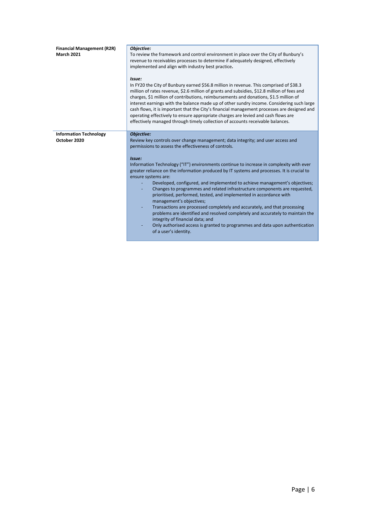| <b>Financial Management (R2R)</b><br><b>March 2021</b> | Objective:<br>To review the framework and control environment in place over the City of Bunbury's<br>revenue to receivables processes to determine if adequately designed, effectively<br>implemented and align with industry best practice.<br>Issue:<br>In FY20 the City of Bunbury earned \$56.8 million in revenue. This comprised of \$38.3<br>million of rates revenue, \$2.6 million of grants and subsidies, \$12.8 million of fees and<br>charges, \$1 million of contributions, reimbursements and donations, \$1.5 million of<br>interest earnings with the balance made up of other sundry income. Considering such large<br>cash flows, it is important that the City's financial management processes are designed and<br>operating effectively to ensure appropriate charges are levied and cash flows are<br>effectively managed through timely collection of accounts receivable balances.                                 |
|--------------------------------------------------------|---------------------------------------------------------------------------------------------------------------------------------------------------------------------------------------------------------------------------------------------------------------------------------------------------------------------------------------------------------------------------------------------------------------------------------------------------------------------------------------------------------------------------------------------------------------------------------------------------------------------------------------------------------------------------------------------------------------------------------------------------------------------------------------------------------------------------------------------------------------------------------------------------------------------------------------------|
| <b>Information Technology</b>                          | Objective:                                                                                                                                                                                                                                                                                                                                                                                                                                                                                                                                                                                                                                                                                                                                                                                                                                                                                                                                  |
| October 2020                                           | Review key controls over change management; data integrity; and user access and<br>permissions to assess the effectiveness of controls.<br>Issue:<br>Information Technology ("IT") environments continue to increase in complexity with ever<br>greater reliance on the information produced by IT systems and processes. It is crucial to<br>ensure systems are:<br>Developed, configured, and implemented to achieve management's objectives;<br>Changes to programmes and related infrastructure components are requested,<br>prioritised, performed, tested, and implemented in accordance with<br>management's objectives;<br>Transactions are processed completely and accurately, and that processing<br>problems are identified and resolved completely and accurately to maintain the<br>integrity of financial data; and<br>Only authorised access is granted to programmes and data upon authentication<br>of a user's identity. |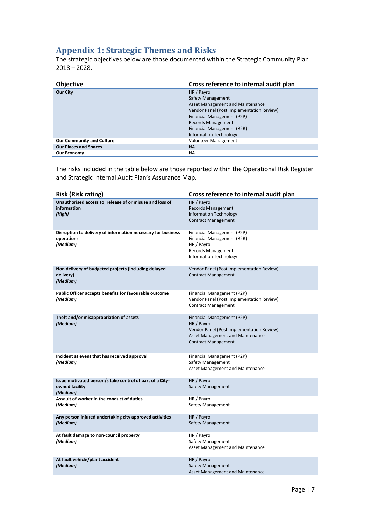# <span id="page-35-0"></span>**Appendix 1: Strategic Themes and Risks**

The strategic objectives below are those documented within the Strategic Community Plan 2018 – 2028.

| <b>Objective</b>                 | Cross reference to internal audit plan    |
|----------------------------------|-------------------------------------------|
| Our City                         | HR / Payroll                              |
|                                  | <b>Safety Management</b>                  |
|                                  | Asset Management and Maintenance          |
|                                  | Vendor Panel (Post Implementation Review) |
|                                  | Financial Management (P2P)                |
|                                  | <b>Records Management</b>                 |
|                                  | Financial Management (R2R)                |
|                                  | <b>Information Technology</b>             |
| <b>Our Community and Culture</b> | <b>Volunteer Management</b>               |
| <b>Our Places and Spaces</b>     | <b>NA</b>                                 |
| <b>Our Economy</b>               | <b>NA</b>                                 |

The risks included in the table below are those reported within the Operational Risk Register and Strategic Internal Audit Plan's Assurance Map.

| <b>Risk (Risk rating)</b>                                                              | Cross reference to internal audit plan                                                                                                                           |
|----------------------------------------------------------------------------------------|------------------------------------------------------------------------------------------------------------------------------------------------------------------|
| Unauthorised access to, release of or misuse and loss of<br>information<br>(High)      | HR / Payroll<br><b>Records Management</b><br><b>Information Technology</b><br><b>Contract Management</b>                                                         |
| Disruption to delivery of information necessary for business<br>operations<br>(Medium) | Financial Management (P2P)<br>Financial Management (R2R)<br>HR / Payroll<br>Records Management<br>Information Technology                                         |
| Non delivery of budgeted projects (including delayed<br>delivery)<br>(Medium)          | Vendor Panel (Post Implementation Review)<br><b>Contract Management</b>                                                                                          |
| Public Officer accepts benefits for favourable outcome<br>(Medium)                     | Financial Management (P2P)<br>Vendor Panel (Post Implementation Review)<br><b>Contract Management</b>                                                            |
| Theft and/or misappropriation of assets<br>(Medium)                                    | Financial Management (P2P)<br>HR / Payroll<br>Vendor Panel (Post Implementation Review)<br><b>Asset Management and Maintenance</b><br><b>Contract Management</b> |
| Incident at event that has received approval<br>(Medium)                               | Financial Management (P2P)<br>Safety Management<br>Asset Management and Maintenance                                                                              |
| Issue motivated person/s take control of part of a City-<br>owned facility<br>(Medium) | HR / Payroll<br><b>Safety Management</b>                                                                                                                         |
| Assault of worker in the conduct of duties<br>(Medium)                                 | HR / Payroll<br>Safety Management                                                                                                                                |
| Any person injured undertaking city approved activities<br>(Medium)                    | HR / Payroll<br>Safety Management                                                                                                                                |
| At fault damage to non-council property<br>(Medium)                                    | HR / Payroll<br><b>Safety Management</b><br>Asset Management and Maintenance                                                                                     |
| At fault vehicle/plant accident<br>(Medium)                                            | HR / Payroll<br>Safety Management<br><b>Asset Management and Maintenance</b>                                                                                     |